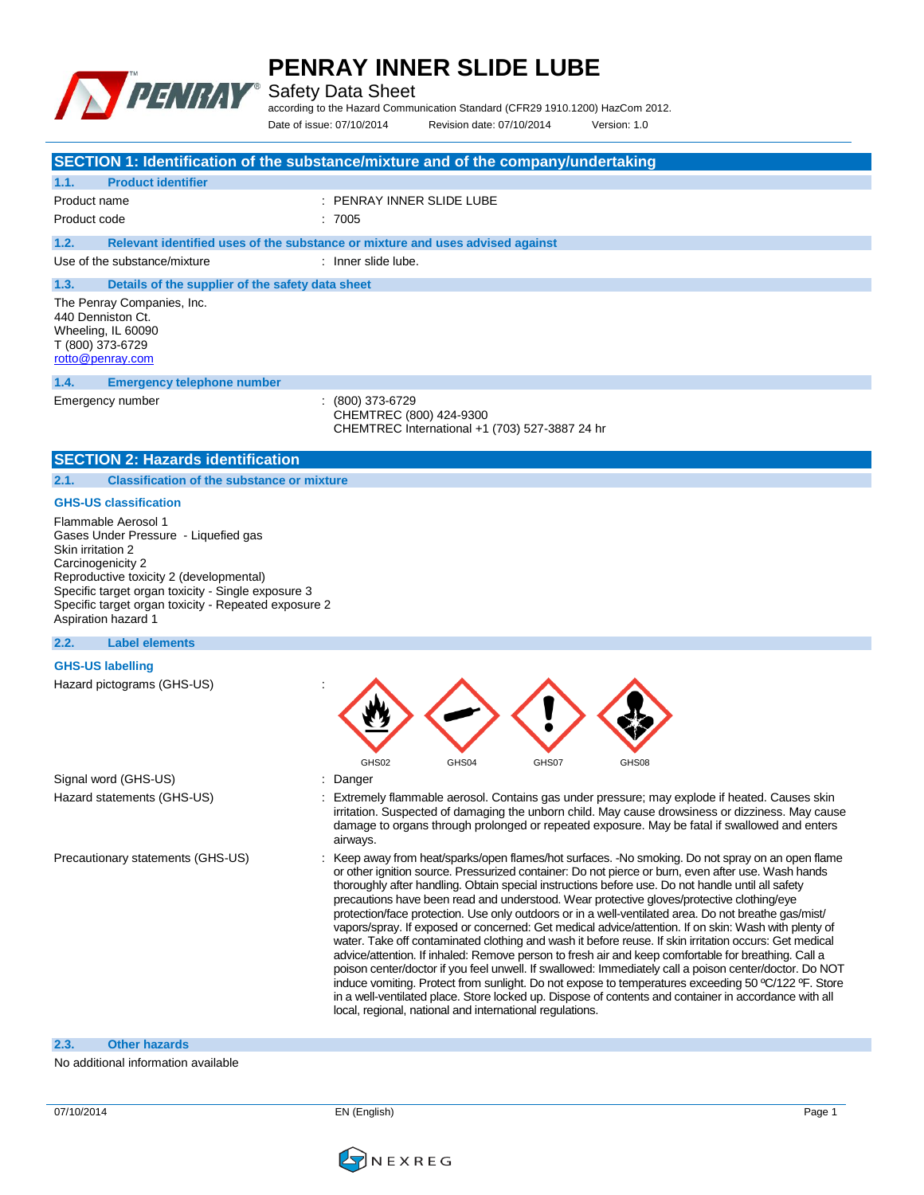

Safety Data Sheet

according to the Hazard Communication Standard (CFR29 1910.1200) HazCom 2012.

Date of issue: 07/10/2014 Revision date: 07/10/2014 Version: 1.0

|                                                                                                                                                                                                                                                                | SECTION 1: Identification of the substance/mixture and of the company/undertaking                                                                                                                                                                                                                                                                                                                                                                                                                                                                                                                                                                                                                                                                                                                                                                                                                                                                                                                                                                                                                                                                                                                                              |
|----------------------------------------------------------------------------------------------------------------------------------------------------------------------------------------------------------------------------------------------------------------|--------------------------------------------------------------------------------------------------------------------------------------------------------------------------------------------------------------------------------------------------------------------------------------------------------------------------------------------------------------------------------------------------------------------------------------------------------------------------------------------------------------------------------------------------------------------------------------------------------------------------------------------------------------------------------------------------------------------------------------------------------------------------------------------------------------------------------------------------------------------------------------------------------------------------------------------------------------------------------------------------------------------------------------------------------------------------------------------------------------------------------------------------------------------------------------------------------------------------------|
| <b>Product identifier</b><br>1.1.                                                                                                                                                                                                                              |                                                                                                                                                                                                                                                                                                                                                                                                                                                                                                                                                                                                                                                                                                                                                                                                                                                                                                                                                                                                                                                                                                                                                                                                                                |
| Product name                                                                                                                                                                                                                                                   | : PENRAY INNER SLIDE LUBE                                                                                                                                                                                                                                                                                                                                                                                                                                                                                                                                                                                                                                                                                                                                                                                                                                                                                                                                                                                                                                                                                                                                                                                                      |
| Product code                                                                                                                                                                                                                                                   | :7005                                                                                                                                                                                                                                                                                                                                                                                                                                                                                                                                                                                                                                                                                                                                                                                                                                                                                                                                                                                                                                                                                                                                                                                                                          |
| 1.2.                                                                                                                                                                                                                                                           | Relevant identified uses of the substance or mixture and uses advised against                                                                                                                                                                                                                                                                                                                                                                                                                                                                                                                                                                                                                                                                                                                                                                                                                                                                                                                                                                                                                                                                                                                                                  |
| Use of the substance/mixture                                                                                                                                                                                                                                   | : Inner slide lube.                                                                                                                                                                                                                                                                                                                                                                                                                                                                                                                                                                                                                                                                                                                                                                                                                                                                                                                                                                                                                                                                                                                                                                                                            |
| 1.3.<br>Details of the supplier of the safety data sheet                                                                                                                                                                                                       |                                                                                                                                                                                                                                                                                                                                                                                                                                                                                                                                                                                                                                                                                                                                                                                                                                                                                                                                                                                                                                                                                                                                                                                                                                |
| The Penray Companies, Inc.<br>440 Denniston Ct.<br>Wheeling, IL 60090<br>T (800) 373-6729<br>rotto@penray.com                                                                                                                                                  |                                                                                                                                                                                                                                                                                                                                                                                                                                                                                                                                                                                                                                                                                                                                                                                                                                                                                                                                                                                                                                                                                                                                                                                                                                |
| 1.4.<br><b>Emergency telephone number</b>                                                                                                                                                                                                                      |                                                                                                                                                                                                                                                                                                                                                                                                                                                                                                                                                                                                                                                                                                                                                                                                                                                                                                                                                                                                                                                                                                                                                                                                                                |
| Emergency number                                                                                                                                                                                                                                               | $(800)$ 373-6729<br>CHEMTREC (800) 424-9300<br>CHEMTREC International +1 (703) 527-3887 24 hr                                                                                                                                                                                                                                                                                                                                                                                                                                                                                                                                                                                                                                                                                                                                                                                                                                                                                                                                                                                                                                                                                                                                  |
| <b>SECTION 2: Hazards identification</b>                                                                                                                                                                                                                       |                                                                                                                                                                                                                                                                                                                                                                                                                                                                                                                                                                                                                                                                                                                                                                                                                                                                                                                                                                                                                                                                                                                                                                                                                                |
| <b>Classification of the substance or mixture</b><br>2.1.                                                                                                                                                                                                      |                                                                                                                                                                                                                                                                                                                                                                                                                                                                                                                                                                                                                                                                                                                                                                                                                                                                                                                                                                                                                                                                                                                                                                                                                                |
| <b>GHS-US classification</b>                                                                                                                                                                                                                                   |                                                                                                                                                                                                                                                                                                                                                                                                                                                                                                                                                                                                                                                                                                                                                                                                                                                                                                                                                                                                                                                                                                                                                                                                                                |
| Gases Under Pressure - Liquefied gas<br>Skin irritation 2<br>Carcinogenicity 2<br>Reproductive toxicity 2 (developmental)<br>Specific target organ toxicity - Single exposure 3<br>Specific target organ toxicity - Repeated exposure 2<br>Aspiration hazard 1 |                                                                                                                                                                                                                                                                                                                                                                                                                                                                                                                                                                                                                                                                                                                                                                                                                                                                                                                                                                                                                                                                                                                                                                                                                                |
| <b>Label elements</b><br>2.2.                                                                                                                                                                                                                                  |                                                                                                                                                                                                                                                                                                                                                                                                                                                                                                                                                                                                                                                                                                                                                                                                                                                                                                                                                                                                                                                                                                                                                                                                                                |
| <b>GHS-US labelling</b>                                                                                                                                                                                                                                        |                                                                                                                                                                                                                                                                                                                                                                                                                                                                                                                                                                                                                                                                                                                                                                                                                                                                                                                                                                                                                                                                                                                                                                                                                                |
| Hazard pictograms (GHS-US)                                                                                                                                                                                                                                     | GHS02<br>GHS04<br>GHS07<br>GHS08                                                                                                                                                                                                                                                                                                                                                                                                                                                                                                                                                                                                                                                                                                                                                                                                                                                                                                                                                                                                                                                                                                                                                                                               |
| Signal word (GHS-US)                                                                                                                                                                                                                                           | : Danger                                                                                                                                                                                                                                                                                                                                                                                                                                                                                                                                                                                                                                                                                                                                                                                                                                                                                                                                                                                                                                                                                                                                                                                                                       |
| Hazard statements (GHS-US)                                                                                                                                                                                                                                     | : Extremely flammable aerosol. Contains gas under pressure; may explode if heated. Causes skin<br>irritation. Suspected of damaging the unborn child. May cause drowsiness or dizziness. May cause<br>damage to organs through prolonged or repeated exposure. May be fatal if swallowed and enters<br>airways.                                                                                                                                                                                                                                                                                                                                                                                                                                                                                                                                                                                                                                                                                                                                                                                                                                                                                                                |
| Precautionary statements (GHS-US)                                                                                                                                                                                                                              | Keep away from heat/sparks/open flames/hot surfaces. -No smoking. Do not spray on an open flame<br>or other ignition source. Pressurized container: Do not pierce or burn, even after use. Wash hands<br>thoroughly after handling. Obtain special instructions before use. Do not handle until all safety<br>precautions have been read and understood. Wear protective gloves/protective clothing/eye<br>protection/face protection. Use only outdoors or in a well-ventilated area. Do not breathe gas/mist/<br>vapors/spray. If exposed or concerned: Get medical advice/attention. If on skin: Wash with plenty of<br>water. Take off contaminated clothing and wash it before reuse. If skin irritation occurs: Get medical<br>advice/attention. If inhaled: Remove person to fresh air and keep comfortable for breathing. Call a<br>poison center/doctor if you feel unwell. If swallowed: Immediately call a poison center/doctor. Do NOT<br>induce vomiting. Protect from sunlight. Do not expose to temperatures exceeding 50 °C/122 °F. Store<br>in a well-ventilated place. Store locked up. Dispose of contents and container in accordance with all<br>local, regional, national and international regulations. |

#### **2.3. Other hazards**

No additional information available

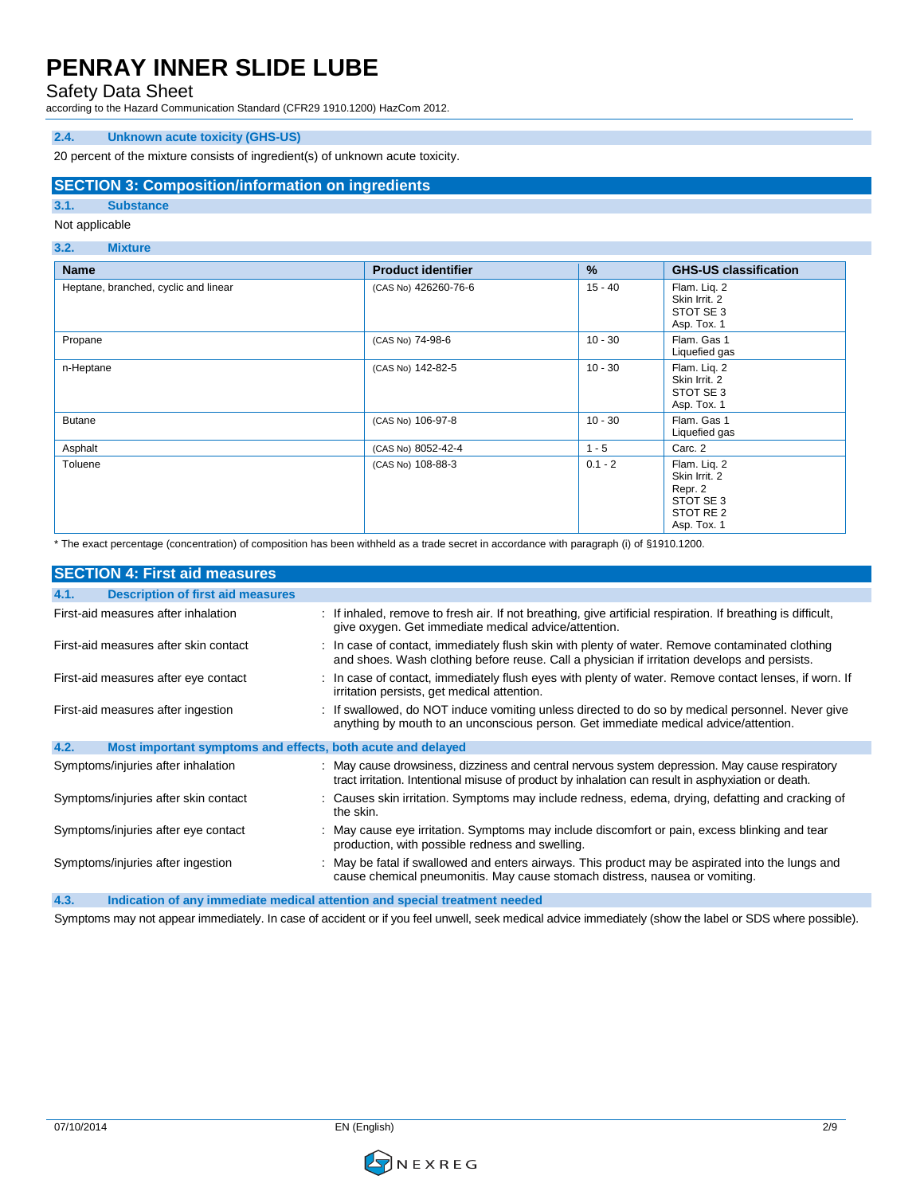Safety Data Sheet

according to the Hazard Communication Standard (CFR29 1910.1200) HazCom 2012.

### **2.4. Unknown acute toxicity (GHS-US)**

20 percent of the mixture consists of ingredient(s) of unknown acute toxicity.

#### **SECTION 3: Composition/information on ingredients**

#### **3.1. Substance**

### Not applicable

#### **3.2. Mixture**

| <b>Name</b>                          | <b>Product identifier</b> | %         | <b>GHS-US classification</b>                                                      |
|--------------------------------------|---------------------------|-----------|-----------------------------------------------------------------------------------|
| Heptane, branched, cyclic and linear | (CAS No) 426260-76-6      | $15 - 40$ | Flam. Liq. 2<br>Skin Irrit, 2<br>STOT SE 3<br>Asp. Tox. 1                         |
| Propane                              | (CAS No) 74-98-6          | $10 - 30$ | Flam. Gas 1<br>Liquefied gas                                                      |
| n-Heptane                            | (CAS No) 142-82-5         | $10 - 30$ | Flam. Liq. 2<br>Skin Irrit, 2<br>STOT SE 3<br>Asp. Tox. 1                         |
| <b>Butane</b>                        | (CAS No) 106-97-8         | $10 - 30$ | Flam. Gas 1<br>Liquefied gas                                                      |
| Asphalt                              | (CAS No) 8052-42-4        | $1 - 5$   | Carc. 2                                                                           |
| Toluene                              | (CAS No) 108-88-3         | $0.1 - 2$ | Flam. Liq. 2<br>Skin Irrit. 2<br>Repr. 2<br>STOT SE 3<br>STOT RE 2<br>Asp. Tox. 1 |

\* The exact percentage (concentration) of composition has been withheld as a trade secret in accordance with paragraph (i) of §1910.1200.

| <b>SECTION 4: First aid measures</b>                                |                                                                                                                                                                                                      |
|---------------------------------------------------------------------|------------------------------------------------------------------------------------------------------------------------------------------------------------------------------------------------------|
| <b>Description of first aid measures</b><br>4.1.                    |                                                                                                                                                                                                      |
| First-aid measures after inhalation                                 | : If inhaled, remove to fresh air. If not breathing, give artificial respiration. If breathing is difficult,<br>give oxygen. Get immediate medical advice/attention.                                 |
| First-aid measures after skin contact                               | : In case of contact, immediately flush skin with plenty of water. Remove contaminated clothing<br>and shoes. Wash clothing before reuse. Call a physician if irritation develops and persists.      |
| First-aid measures after eye contact                                | : In case of contact, immediately flush eyes with plenty of water. Remove contact lenses, if worn. If<br>irritation persists, get medical attention.                                                 |
| First-aid measures after ingestion                                  | : If swallowed, do NOT induce vomiting unless directed to do so by medical personnel. Never give<br>anything by mouth to an unconscious person. Get immediate medical advice/attention.              |
| 4.2.<br>Most important symptoms and effects, both acute and delayed |                                                                                                                                                                                                      |
| Symptoms/injuries after inhalation                                  | : May cause drowsiness, dizziness and central nervous system depression. May cause respiratory<br>tract irritation. Intentional misuse of product by inhalation can result in asphyxiation or death. |
| Symptoms/injuries after skin contact                                | : Causes skin irritation. Symptoms may include redness, edema, drying, defatting and cracking of<br>the skin.                                                                                        |
| Symptoms/injuries after eye contact                                 | : May cause eye irritation. Symptoms may include discomfort or pain, excess blinking and tear<br>production, with possible redness and swelling.                                                     |
| Symptoms/injuries after ingestion                                   | : May be fatal if swallowed and enters airways. This product may be aspirated into the lungs and<br>cause chemical pneumonitis. May cause stomach distress, nausea or vomiting.                      |
| $\sqrt{2}$                                                          | the Holland and Constitution of Holland and Holland and the constitution of the constantine and in the Holland                                                                                       |

**4.3. Indication of any immediate medical attention and special treatment needed**

Symptoms may not appear immediately. In case of accident or if you feel unwell, seek medical advice immediately (show the label or SDS where possible).

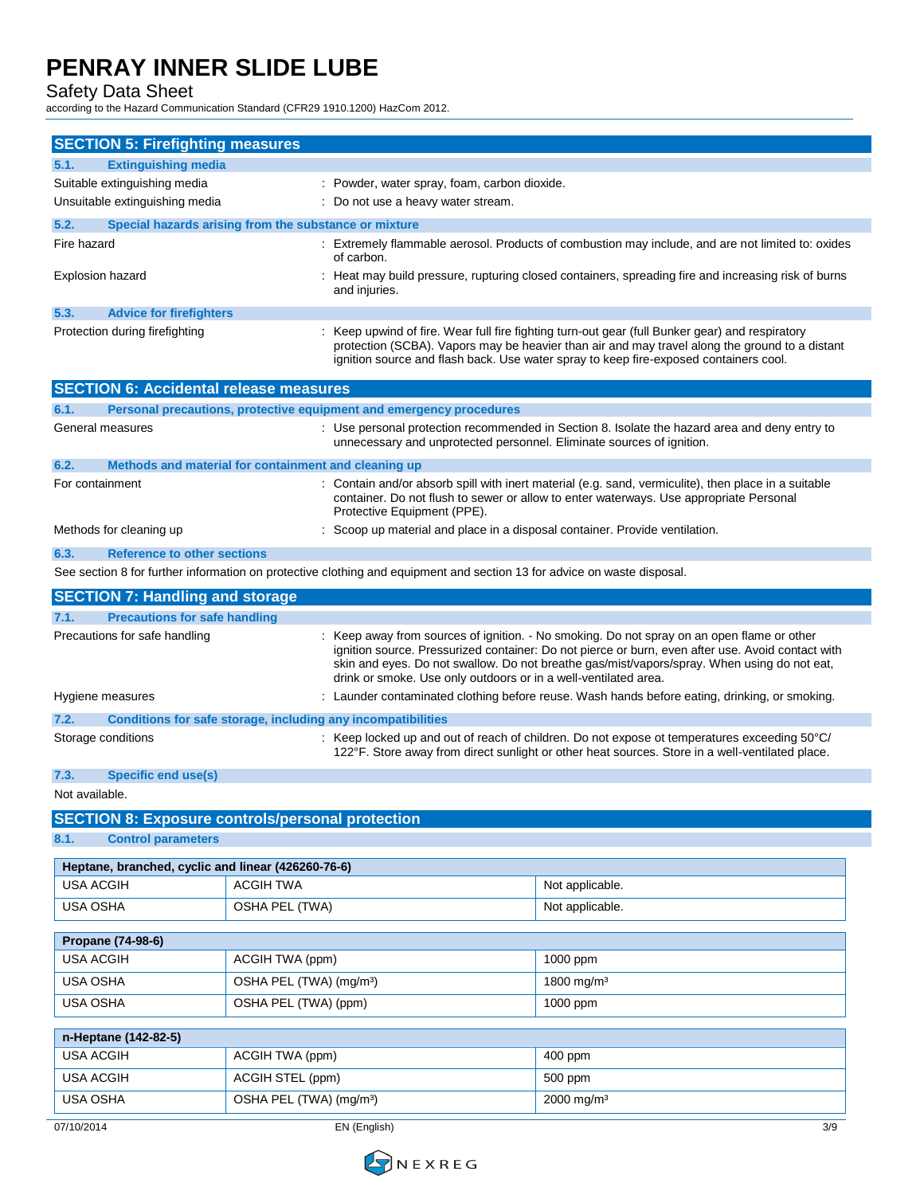Safety Data Sheet

according to the Hazard Communication Standard (CFR29 1910.1200) HazCom 2012.

| <b>SECTION 5: Firefighting measures</b>                 |                                                                                               |                                                                                                                         |                                                                                                                                                                                                                                                                                                |
|---------------------------------------------------------|-----------------------------------------------------------------------------------------------|-------------------------------------------------------------------------------------------------------------------------|------------------------------------------------------------------------------------------------------------------------------------------------------------------------------------------------------------------------------------------------------------------------------------------------|
| 5.1.<br><b>Extinguishing media</b>                      |                                                                                               |                                                                                                                         |                                                                                                                                                                                                                                                                                                |
| Suitable extinguishing media                            |                                                                                               | : Powder, water spray, foam, carbon dioxide.                                                                            |                                                                                                                                                                                                                                                                                                |
| Unsuitable extinguishing media                          |                                                                                               | : Do not use a heavy water stream.                                                                                      |                                                                                                                                                                                                                                                                                                |
| 5.2.                                                    | Special hazards arising from the substance or mixture                                         |                                                                                                                         |                                                                                                                                                                                                                                                                                                |
| Fire hazard                                             |                                                                                               | of carbon.                                                                                                              | : Extremely flammable aerosol. Products of combustion may include, and are not limited to: oxides                                                                                                                                                                                              |
| <b>Explosion hazard</b>                                 |                                                                                               | and injuries.                                                                                                           | : Heat may build pressure, rupturing closed containers, spreading fire and increasing risk of burns                                                                                                                                                                                            |
| 5.3.<br><b>Advice for firefighters</b>                  |                                                                                               |                                                                                                                         |                                                                                                                                                                                                                                                                                                |
| Protection during firefighting                          |                                                                                               |                                                                                                                         | Keep upwind of fire. Wear full fire fighting turn-out gear (full Bunker gear) and respiratory<br>protection (SCBA). Vapors may be heavier than air and may travel along the ground to a distant<br>ignition source and flash back. Use water spray to keep fire-exposed containers cool.       |
| <b>SECTION 6: Accidental release measures</b>           |                                                                                               |                                                                                                                         |                                                                                                                                                                                                                                                                                                |
| 6.1.                                                    |                                                                                               | Personal precautions, protective equipment and emergency procedures                                                     |                                                                                                                                                                                                                                                                                                |
| General measures                                        |                                                                                               | unnecessary and unprotected personnel. Eliminate sources of ignition.                                                   | : Use personal protection recommended in Section 8. Isolate the hazard area and deny entry to                                                                                                                                                                                                  |
| 6.2.                                                    | Methods and material for containment and cleaning up                                          |                                                                                                                         |                                                                                                                                                                                                                                                                                                |
| For containment                                         |                                                                                               | Protective Equipment (PPE).                                                                                             | : Contain and/or absorb spill with inert material (e.g. sand, vermiculite), then place in a suitable<br>container. Do not flush to sewer or allow to enter waterways. Use appropriate Personal                                                                                                 |
| Methods for cleaning up                                 |                                                                                               | : Scoop up material and place in a disposal container. Provide ventilation.                                             |                                                                                                                                                                                                                                                                                                |
| 6.3.<br><b>Reference to other sections</b>              |                                                                                               |                                                                                                                         |                                                                                                                                                                                                                                                                                                |
|                                                         |                                                                                               | See section 8 for further information on protective clothing and equipment and section 13 for advice on waste disposal. |                                                                                                                                                                                                                                                                                                |
| <b>SECTION 7: Handling and storage</b>                  |                                                                                               |                                                                                                                         |                                                                                                                                                                                                                                                                                                |
| <b>Precautions for safe handling</b><br>7.1.            |                                                                                               |                                                                                                                         |                                                                                                                                                                                                                                                                                                |
| Precautions for safe handling                           |                                                                                               | drink or smoke. Use only outdoors or in a well-ventilated area.                                                         | : Keep away from sources of ignition. - No smoking. Do not spray on an open flame or other<br>ignition source. Pressurized container: Do not pierce or burn, even after use. Avoid contact with<br>skin and eyes. Do not swallow. Do not breathe gas/mist/vapors/spray. When using do not eat, |
| Hygiene measures                                        | : Launder contaminated clothing before reuse. Wash hands before eating, drinking, or smoking. |                                                                                                                         |                                                                                                                                                                                                                                                                                                |
| 7.2.                                                    |                                                                                               | Conditions for safe storage, including any incompatibilities                                                            |                                                                                                                                                                                                                                                                                                |
| Storage conditions                                      |                                                                                               |                                                                                                                         | : Keep locked up and out of reach of children. Do not expose ot temperatures exceeding 50°C/<br>122°F. Store away from direct sunlight or other heat sources. Store in a well-ventilated place.                                                                                                |
| 7.3.<br>Specific end use(s)                             |                                                                                               |                                                                                                                         |                                                                                                                                                                                                                                                                                                |
| Not available.                                          |                                                                                               |                                                                                                                         |                                                                                                                                                                                                                                                                                                |
| <b>SECTION 8: Exposure controls/personal protection</b> |                                                                                               |                                                                                                                         |                                                                                                                                                                                                                                                                                                |
| 8.1.<br><b>Control parameters</b>                       |                                                                                               |                                                                                                                         |                                                                                                                                                                                                                                                                                                |
| Heptane, branched, cyclic and linear (426260-76-6)      |                                                                                               |                                                                                                                         |                                                                                                                                                                                                                                                                                                |
| <b>USA ACGIH</b>                                        | <b>ACGIH TWA</b>                                                                              |                                                                                                                         | Not applicable.                                                                                                                                                                                                                                                                                |
| <b>USA OSHA</b>                                         | OSHA PEL (TWA)                                                                                |                                                                                                                         | Not applicable.                                                                                                                                                                                                                                                                                |
| Propane (74-98-6)                                       |                                                                                               |                                                                                                                         |                                                                                                                                                                                                                                                                                                |
| <b>USA ACGIH</b>                                        | ACGIH TWA (ppm)                                                                               |                                                                                                                         | 1000 ppm                                                                                                                                                                                                                                                                                       |
| USA OSHA                                                | OSHA PEL (TWA) (mg/m <sup>3</sup> )                                                           |                                                                                                                         | 1800 mg/m <sup>3</sup>                                                                                                                                                                                                                                                                         |
| USA OSHA                                                | OSHA PEL (TWA) (ppm)                                                                          |                                                                                                                         | 1000 ppm                                                                                                                                                                                                                                                                                       |
| n-Heptane (142-82-5)                                    |                                                                                               |                                                                                                                         |                                                                                                                                                                                                                                                                                                |
| <b>USA ACGIH</b>                                        | ACGIH TWA (ppm)                                                                               |                                                                                                                         | 400 ppm                                                                                                                                                                                                                                                                                        |
| <b>USA ACGIH</b>                                        | ACGIH STEL (ppm)                                                                              |                                                                                                                         | 500 ppm                                                                                                                                                                                                                                                                                        |
| USA OSHA                                                | OSHA PEL (TWA) (mg/m <sup>3</sup> )                                                           |                                                                                                                         | 2000 mg/m <sup>3</sup>                                                                                                                                                                                                                                                                         |
|                                                         |                                                                                               |                                                                                                                         |                                                                                                                                                                                                                                                                                                |
| 07/10/2014                                              |                                                                                               | EN (English)                                                                                                            | 3/9                                                                                                                                                                                                                                                                                            |

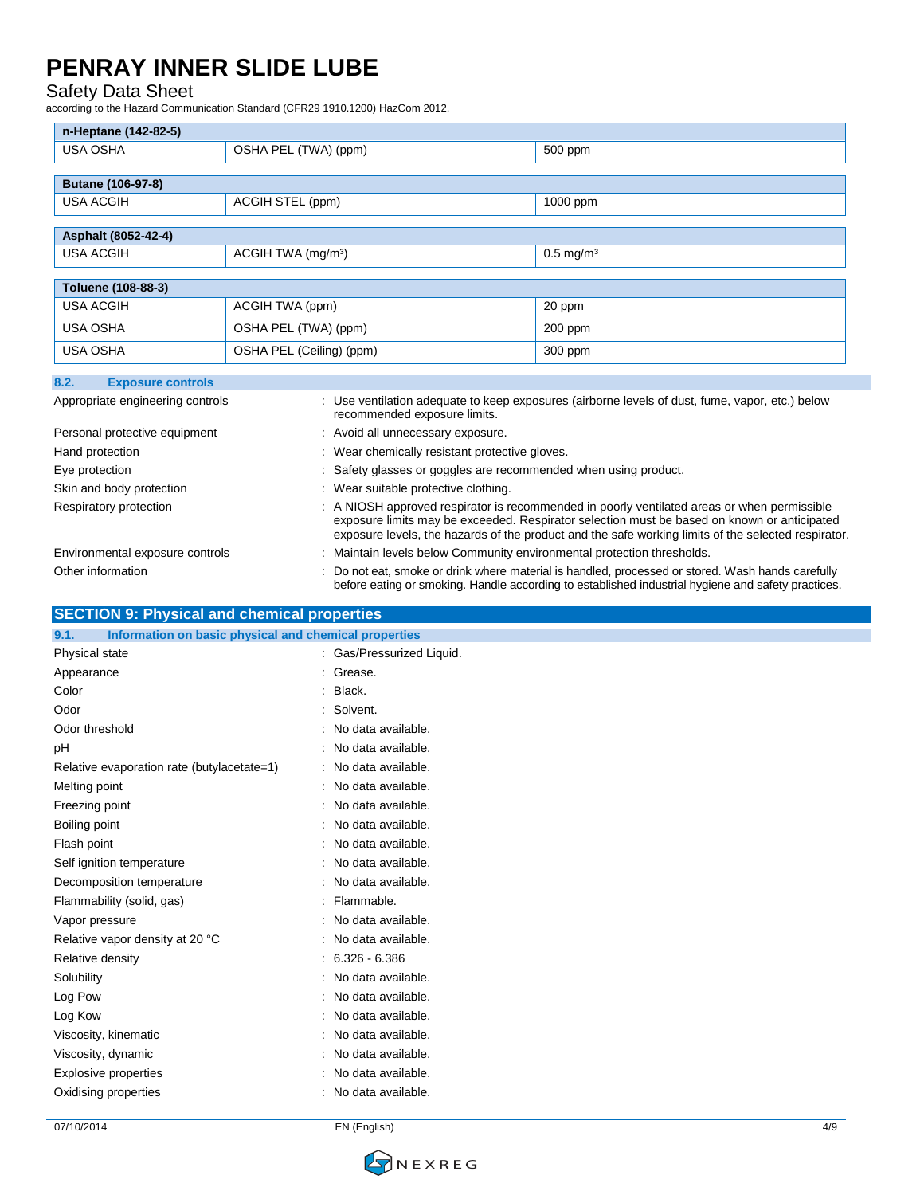### Safety Data Sheet

according to the Hazard Communication Standard (CFR29 1910.1200) HazCom 2012.

| n-Heptane (142-82-5)             |                                |                         |
|----------------------------------|--------------------------------|-------------------------|
| <b>USA OSHA</b>                  | OSHA PEL (TWA) (ppm)           | 500 ppm                 |
|                                  |                                |                         |
| Butane (106-97-8)                |                                |                         |
| <b>USA ACGIH</b>                 | ACGIH STEL (ppm)               | 1000 ppm                |
|                                  |                                |                         |
| Asphalt (8052-42-4)              |                                |                         |
| <b>USA ACGIH</b>                 | ACGIH TWA (mg/m <sup>3</sup> ) | $0.5$ mg/m <sup>3</sup> |
|                                  |                                |                         |
| Toluene (108-88-3)               |                                |                         |
| <b>USA ACGIH</b>                 | ACGIH TWA (ppm)                | 20 ppm                  |
| <b>USA OSHA</b>                  | OSHA PEL (TWA) (ppm)           | 200 ppm                 |
| <b>USA OSHA</b>                  | OSHA PEL (Ceiling) (ppm)       | 300 ppm                 |
| 8.2.<br><b>Exposure controls</b> |                                |                         |

| Appropriate engineering controls | : Use ventilation adequate to keep exposures (airborne levels of dust, fume, vapor, etc.) below<br>recommended exposure limits.                                                                                                                                                                   |
|----------------------------------|---------------------------------------------------------------------------------------------------------------------------------------------------------------------------------------------------------------------------------------------------------------------------------------------------|
| Personal protective equipment    | : Avoid all unnecessary exposure.                                                                                                                                                                                                                                                                 |
| Hand protection                  | : Wear chemically resistant protective gloves.                                                                                                                                                                                                                                                    |
| Eye protection                   | : Safety glasses or goggles are recommended when using product.                                                                                                                                                                                                                                   |
| Skin and body protection         | : Wear suitable protective clothing.                                                                                                                                                                                                                                                              |
| Respiratory protection           | : A NIOSH approved respirator is recommended in poorly ventilated areas or when permissible<br>exposure limits may be exceeded. Respirator selection must be based on known or anticipated<br>exposure levels, the hazards of the product and the safe working limits of the selected respirator. |
| Environmental exposure controls  | : Maintain levels below Community environmental protection thresholds.                                                                                                                                                                                                                            |
| Other information                | : Do not eat, smoke or drink where material is handled, processed or stored. Wash hands carefully<br>before eating or smoking. Handle according to established industrial hygiene and safety practices.                                                                                           |

| 9.1.<br>Information on basic physical and chemical properties |                           |  |
|---------------------------------------------------------------|---------------------------|--|
| Physical state                                                | : Gas/Pressurized Liquid. |  |
| Appearance                                                    | : Grease.                 |  |
| Color                                                         | : Black.                  |  |
| Odor                                                          | : Solvent.                |  |
| Odor threshold                                                | : No data available.      |  |
| pH                                                            | : No data available.      |  |
| Relative evaporation rate (butylacetate=1)                    | : No data available.      |  |
| Melting point                                                 | : No data available.      |  |
| Freezing point                                                | : No data available.      |  |
| Boiling point                                                 | : No data available.      |  |
| Flash point                                                   | : No data available.      |  |
| Self ignition temperature                                     | : No data available.      |  |
| Decomposition temperature                                     | : No data available.      |  |
| Flammability (solid, gas)                                     | : Flammable.              |  |
| Vapor pressure                                                | : No data available.      |  |
| Relative vapor density at 20 °C                               | : No data available.      |  |
| Relative density                                              | $: 6.326 - 6.386$         |  |
| Solubility                                                    | : No data available.      |  |
| Log Pow                                                       | : No data available.      |  |
| Log Kow                                                       | : No data available.      |  |
| Viscosity, kinematic                                          | : No data available.      |  |
| Viscosity, dynamic                                            | : No data available.      |  |
| Explosive properties                                          | : No data available.      |  |
| Oxidising properties                                          | : No data available.      |  |
|                                                               |                           |  |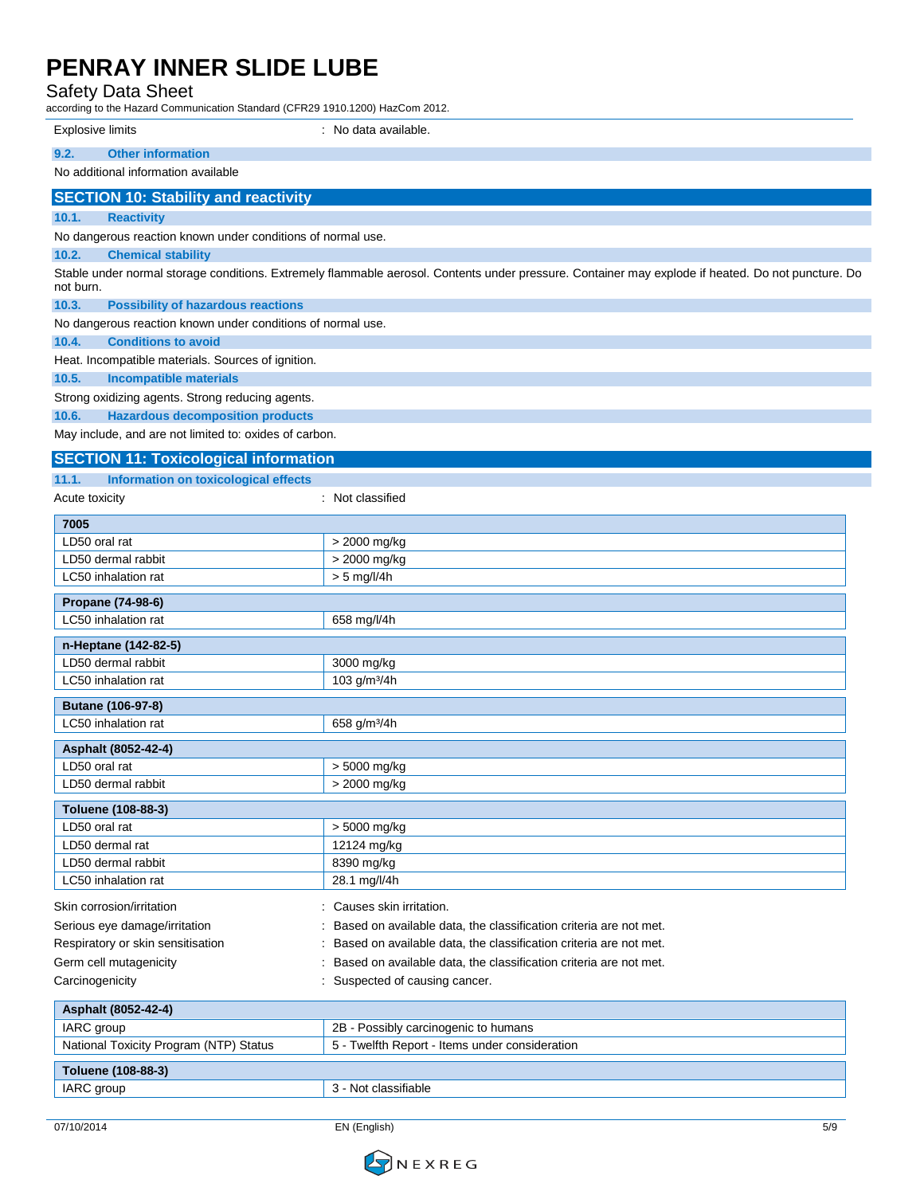Safety Data Sheet

expression Standard (CFR29 1910.1200) HazCom 2012.

| according to the Hazard Communication Standard (CFN29-1910.1200) HazCom Z012. |                                                                                                                                                    |
|-------------------------------------------------------------------------------|----------------------------------------------------------------------------------------------------------------------------------------------------|
| Explosive limits                                                              | : No data available.                                                                                                                               |
| 9.2.<br><b>Other information</b>                                              |                                                                                                                                                    |
| No additional information available                                           |                                                                                                                                                    |
| <b>SECTION 10: Stability and reactivity</b>                                   |                                                                                                                                                    |
| 10.1.<br><b>Reactivity</b>                                                    |                                                                                                                                                    |
| No dangerous reaction known under conditions of normal use.                   |                                                                                                                                                    |
| 10.2.<br><b>Chemical stability</b>                                            |                                                                                                                                                    |
| not burn.                                                                     | Stable under normal storage conditions. Extremely flammable aerosol. Contents under pressure. Container may explode if heated. Do not puncture. Do |
| 10.3.<br><b>Possibility of hazardous reactions</b>                            |                                                                                                                                                    |
| No dangerous reaction known under conditions of normal use.                   |                                                                                                                                                    |
| 10.4.<br><b>Conditions to avoid</b>                                           |                                                                                                                                                    |
| Heat. Incompatible materials. Sources of ignition.                            |                                                                                                                                                    |
| 10.5.<br><b>Incompatible materials</b>                                        |                                                                                                                                                    |
| Strong oxidizing agents. Strong reducing agents.                              |                                                                                                                                                    |
| 10.6.<br><b>Hazardous decomposition products</b>                              |                                                                                                                                                    |
| May include, and are not limited to: oxides of carbon.                        |                                                                                                                                                    |
| <b>SECTION 11: Toxicological information</b>                                  |                                                                                                                                                    |
| <b>Information on toxicological effects</b><br>11.1.                          |                                                                                                                                                    |
| Acute toxicity                                                                | : Not classified                                                                                                                                   |
| 7005                                                                          |                                                                                                                                                    |
| LD50 oral rat                                                                 | > 2000 mg/kg                                                                                                                                       |
| LD50 dermal rabbit                                                            | > 2000 mg/kg                                                                                                                                       |
| LC50 inhalation rat                                                           | $> 5$ mg/l/4h                                                                                                                                      |
| Propane (74-98-6)                                                             |                                                                                                                                                    |
| LC50 inhalation rat                                                           | 658 mg/l/4h                                                                                                                                        |
|                                                                               |                                                                                                                                                    |
| n-Heptane (142-82-5)<br>LD50 dermal rabbit                                    |                                                                                                                                                    |
| LC50 inhalation rat                                                           | 3000 mg/kg<br>103 g/m <sup>3</sup> /4h                                                                                                             |
|                                                                               |                                                                                                                                                    |
| Butane (106-97-8)                                                             |                                                                                                                                                    |
| LC50 inhalation rat                                                           | 658 g/m <sup>3</sup> /4h                                                                                                                           |
| Asphalt (8052-42-4)                                                           |                                                                                                                                                    |
| LD50 oral rat                                                                 | > 5000 mg/kg                                                                                                                                       |
| LD50 dermal rabbit                                                            | > 2000 mg/kg                                                                                                                                       |
| Toluene (108-88-3)                                                            |                                                                                                                                                    |
| LD50 oral rat                                                                 | > 5000 mg/kg                                                                                                                                       |
| LD50 dermal rat                                                               | 12124 mg/kg                                                                                                                                        |
| LD50 dermal rabbit                                                            | 8390 mg/kg                                                                                                                                         |
| LC50 inhalation rat                                                           | 28.1 mg/l/4h                                                                                                                                       |
| Skin corrosion/irritation                                                     | : Causes skin irritation.                                                                                                                          |
| Serious eye damage/irritation                                                 | Based on available data, the classification criteria are not met.                                                                                  |
| Respiratory or skin sensitisation                                             | : Based on available data, the classification criteria are not met.                                                                                |
| Germ cell mutagenicity                                                        | Based on available data, the classification criteria are not met.                                                                                  |
| Carcinogenicity                                                               | : Suspected of causing cancer.                                                                                                                     |
| Asphalt (8052-42-4)                                                           |                                                                                                                                                    |
| IARC group                                                                    | 2B - Possibly carcinogenic to humans                                                                                                               |
| National Toxicity Program (NTP) Status                                        | 5 - Twelfth Report - Items under consideration                                                                                                     |
|                                                                               |                                                                                                                                                    |
| Toluene (108-88-3)                                                            | 3 - Not classifiable                                                                                                                               |
| IARC group                                                                    |                                                                                                                                                    |

07/10/2014 EN (English) 5/9

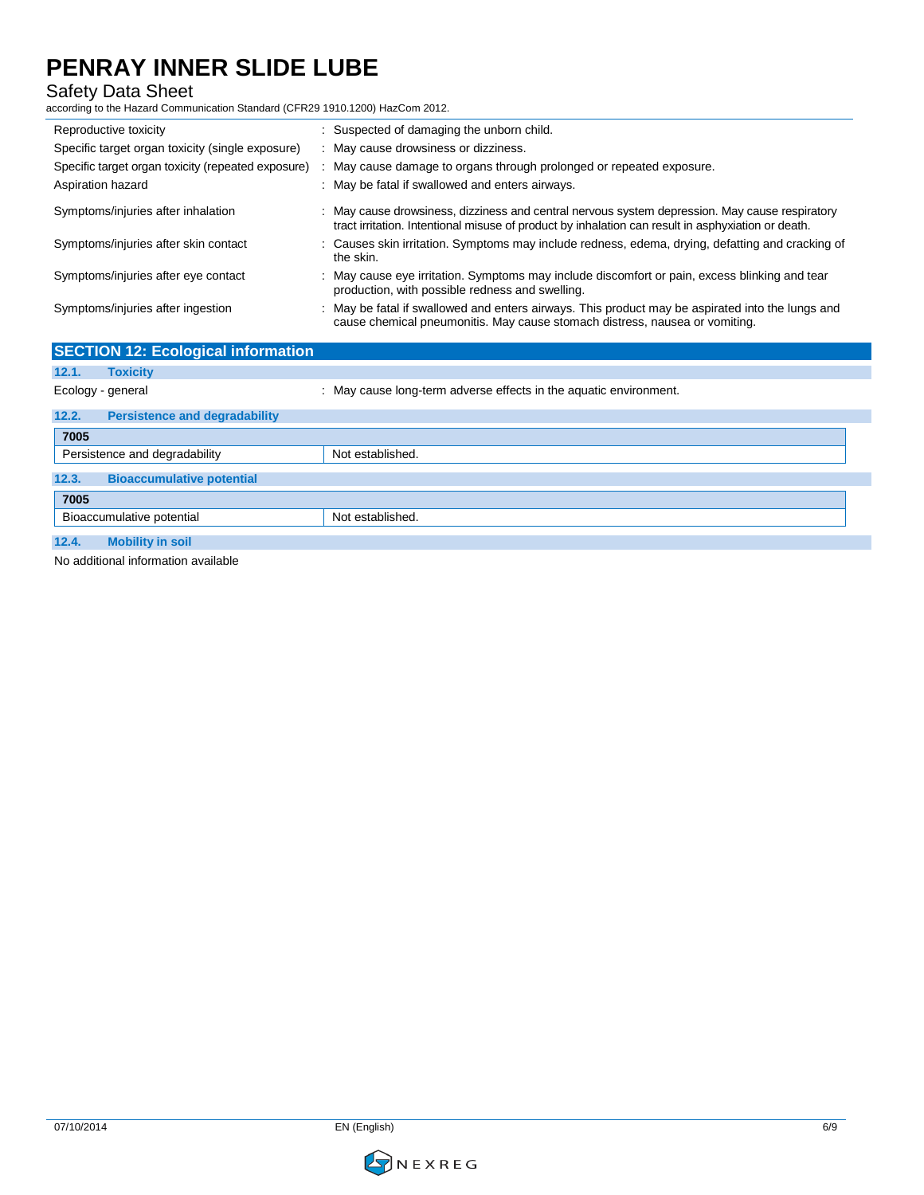### Safety Data Sheet

according to the Hazard Communication Standard (CFR29 1910.1200) HazCom 2012.

| Reproductive toxicity                              | : Suspected of damaging the unborn child.                                                                                                                                                            |
|----------------------------------------------------|------------------------------------------------------------------------------------------------------------------------------------------------------------------------------------------------------|
| Specific target organ toxicity (single exposure)   | : May cause drowsiness or dizziness.                                                                                                                                                                 |
| Specific target organ toxicity (repeated exposure) | : May cause damage to organs through prolonged or repeated exposure.                                                                                                                                 |
| Aspiration hazard                                  | : May be fatal if swallowed and enters airways.                                                                                                                                                      |
| Symptoms/injuries after inhalation                 | : May cause drowsiness, dizziness and central nervous system depression. May cause respiratory<br>tract irritation. Intentional misuse of product by inhalation can result in asphyxiation or death. |
| Symptoms/injuries after skin contact               | : Causes skin irritation. Symptoms may include redness, edema, drying, defatting and cracking of<br>the skin.                                                                                        |
| Symptoms/injuries after eye contact                | : May cause eye irritation. Symptoms may include discomfort or pain, excess blinking and tear<br>production, with possible redness and swelling.                                                     |
| Symptoms/injuries after ingestion                  | : May be fatal if swallowed and enters airways. This product may be aspirated into the lungs and<br>cause chemical pneumonitis. May cause stomach distress, nausea or vomiting.                      |
| <b>SECTION 12: Ecological information</b>          |                                                                                                                                                                                                      |
| 12.1.<br><b>Toxicity</b>                           |                                                                                                                                                                                                      |
| Ecology gonoral                                    | May cause lengtherm adverse offects in the aquatic environment                                                                                                                                       |

| Luuluyy - yollolal |                                      | $\ldots$ ividy cause iong-term adverse enects in the aquatic environment. |
|--------------------|--------------------------------------|---------------------------------------------------------------------------|
| 12.2.              | <b>Persistence and degradability</b> |                                                                           |
| 7005               |                                      |                                                                           |
|                    | Persistence and degradability        | Not established.                                                          |
| 12.3.              | <b>Bioaccumulative potential</b>     |                                                                           |
| 7005               |                                      |                                                                           |
|                    | Bioaccumulative potential            | Not established.                                                          |
| 12.4.              | <b>Mobility in soil</b>              |                                                                           |

No additional information available

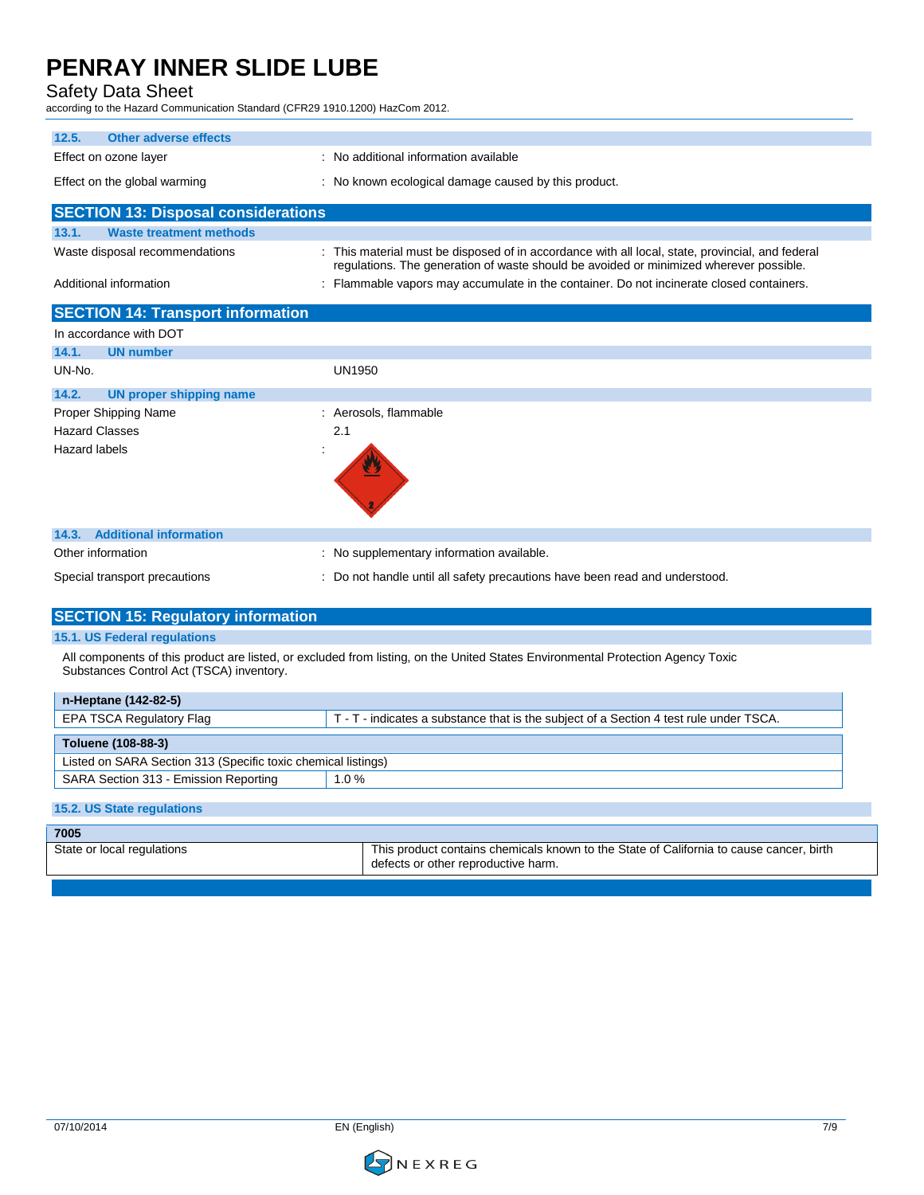Safety Data Sheet

according to the Hazard Communication Standard (CFR29 1910.1200) HazCom 2012.

| 12.5.<br><b>Other adverse effects</b>                                                                                                                                       |                                                                                                                                                                                            |  |
|-----------------------------------------------------------------------------------------------------------------------------------------------------------------------------|--------------------------------------------------------------------------------------------------------------------------------------------------------------------------------------------|--|
| Effect on ozone layer                                                                                                                                                       | : No additional information available                                                                                                                                                      |  |
| Effect on the global warming                                                                                                                                                | : No known ecological damage caused by this product.                                                                                                                                       |  |
| <b>SECTION 13: Disposal considerations</b>                                                                                                                                  |                                                                                                                                                                                            |  |
| <b>Waste treatment methods</b><br>13.1.                                                                                                                                     |                                                                                                                                                                                            |  |
| Waste disposal recommendations                                                                                                                                              | : This material must be disposed of in accordance with all local, state, provincial, and federal<br>regulations. The generation of waste should be avoided or minimized wherever possible. |  |
| Additional information                                                                                                                                                      | : Flammable vapors may accumulate in the container. Do not incinerate closed containers.                                                                                                   |  |
| <b>SECTION 14: Transport information</b>                                                                                                                                    |                                                                                                                                                                                            |  |
| In accordance with DOT                                                                                                                                                      |                                                                                                                                                                                            |  |
| <b>UN number</b><br>14.1.                                                                                                                                                   |                                                                                                                                                                                            |  |
| UN-No.                                                                                                                                                                      | UN1950                                                                                                                                                                                     |  |
| 14.2.<br><b>UN proper shipping name</b>                                                                                                                                     |                                                                                                                                                                                            |  |
| Proper Shipping Name                                                                                                                                                        | : Aerosols, flammable                                                                                                                                                                      |  |
| <b>Hazard Classes</b>                                                                                                                                                       | 2.1                                                                                                                                                                                        |  |
| <b>Hazard labels</b>                                                                                                                                                        |                                                                                                                                                                                            |  |
| <b>Additional information</b><br>14.3.                                                                                                                                      |                                                                                                                                                                                            |  |
| Other information                                                                                                                                                           | : No supplementary information available.                                                                                                                                                  |  |
| Special transport precautions                                                                                                                                               | : Do not handle until all safety precautions have been read and understood.                                                                                                                |  |
| <b>SECTION 15: Regulatory information</b>                                                                                                                                   |                                                                                                                                                                                            |  |
| <b>15.1. US Federal requlations</b>                                                                                                                                         |                                                                                                                                                                                            |  |
| All components of this product are listed, or excluded from listing, on the United States Environmental Protection Agency Toxic<br>Substances Control Act (TSCA) inventory. |                                                                                                                                                                                            |  |
| n-Heptane (142-82-5)                                                                                                                                                        |                                                                                                                                                                                            |  |
| <b>EPA TSCA Regulatory Flag</b>                                                                                                                                             | T - T - indicates a substance that is the subject of a Section 4 test rule under TSCA.                                                                                                     |  |
| Toluene (108-88-3)                                                                                                                                                          |                                                                                                                                                                                            |  |
| Listed on SARA Section 313 (Specific toxic chemical listings)                                                                                                               |                                                                                                                                                                                            |  |
| SARA Section 313 - Emission Reporting                                                                                                                                       | 1.0%                                                                                                                                                                                       |  |
| 15.2. US State regulations                                                                                                                                                  |                                                                                                                                                                                            |  |

| 7005                       |                                                                                                                                |
|----------------------------|--------------------------------------------------------------------------------------------------------------------------------|
| State or local regulations | This product contains chemicals known to the State of California to cause cancer, birth<br>defects or other reproductive harm. |
|                            |                                                                                                                                |

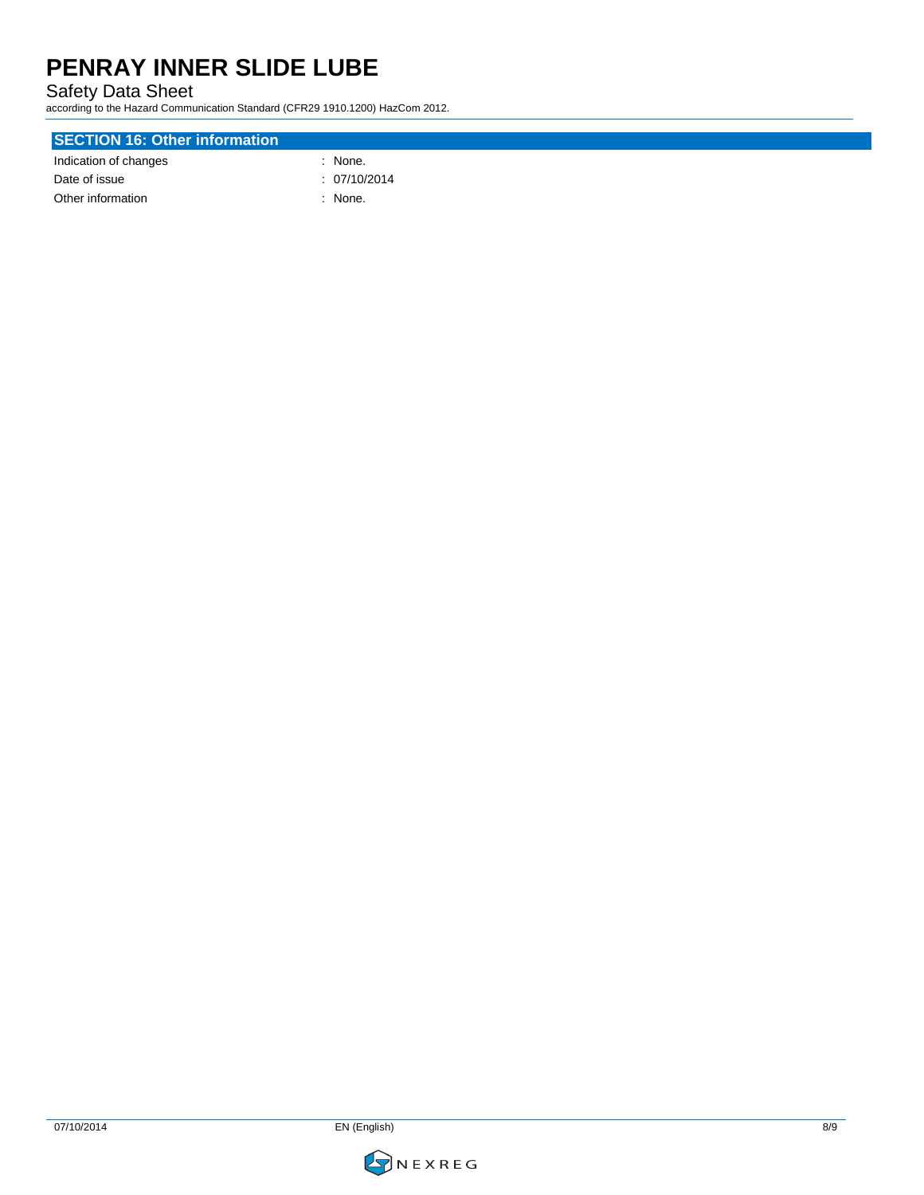Safety Data Sheet

according to the Hazard Communication Standard (CFR29 1910.1200) HazCom 2012.

### **SECTION 16: Other information** Indication of changes in the set of the set of the set of the set of the set of the set of the set of the set of the set of the set of the set of the set of the set of the set of the set of the set of the set of the set of

| Date of issue     | : 07/10/2014 |
|-------------------|--------------|
| Other information | : None.      |